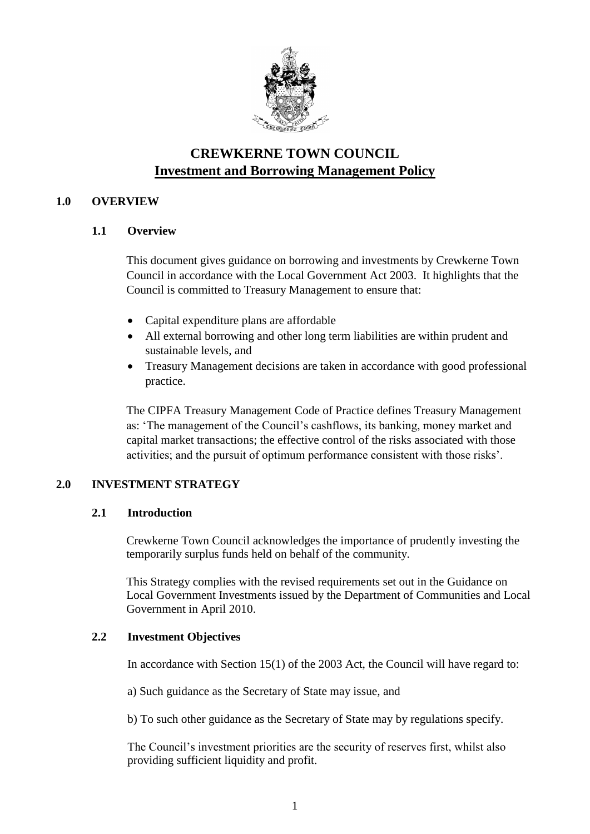

# **CREWKERNE TOWN COUNCIL Investment and Borrowing Management Policy**

# **1.0 OVERVIEW**

# **1.1 Overview**

This document gives guidance on borrowing and investments by Crewkerne Town Council in accordance with the Local Government Act 2003. It highlights that the Council is committed to Treasury Management to ensure that:

- Capital expenditure plans are affordable
- All external borrowing and other long term liabilities are within prudent and sustainable levels, and
- Treasury Management decisions are taken in accordance with good professional practice.

The CIPFA Treasury Management Code of Practice defines Treasury Management as: 'The management of the Council's cashflows, its banking, money market and capital market transactions; the effective control of the risks associated with those activities; and the pursuit of optimum performance consistent with those risks'.

# **2.0 INVESTMENT STRATEGY**

# **2.1 Introduction**

Crewkerne Town Council acknowledges the importance of prudently investing the temporarily surplus funds held on behalf of the community.

This Strategy complies with the revised requirements set out in the Guidance on Local Government Investments issued by the Department of Communities and Local Government in April 2010.

# **2.2 Investment Objectives**

In accordance with Section 15(1) of the 2003 Act, the Council will have regard to:

a) Such guidance as the Secretary of State may issue, and

b) To such other guidance as the Secretary of State may by regulations specify.

The Council's investment priorities are the security of reserves first, whilst also providing sufficient liquidity and profit.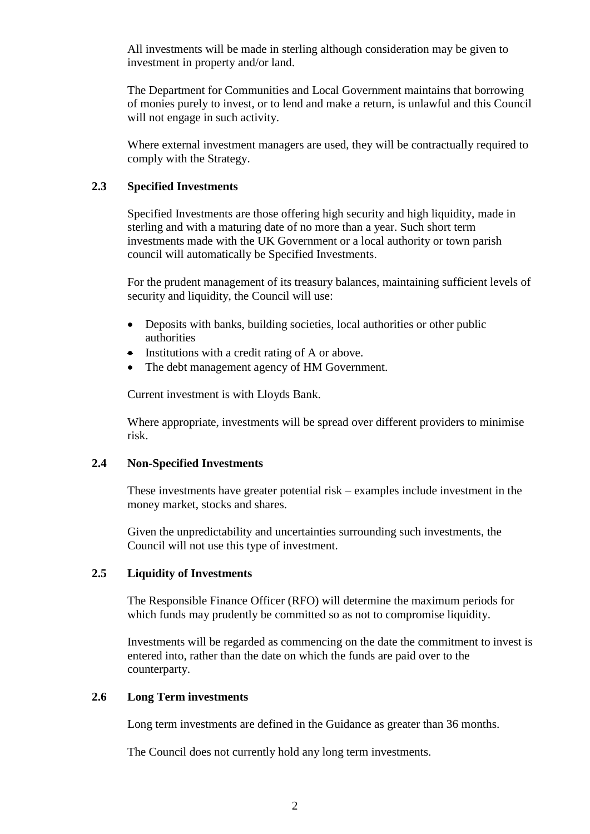All investments will be made in sterling although consideration may be given to investment in property and/or land.

The Department for Communities and Local Government maintains that borrowing of monies purely to invest, or to lend and make a return, is unlawful and this Council will not engage in such activity.

Where external investment managers are used, they will be contractually required to comply with the Strategy.

#### **2.3 Specified Investments**

Specified Investments are those offering high security and high liquidity, made in sterling and with a maturing date of no more than a year. Such short term investments made with the UK Government or a local authority or town parish council will automatically be Specified Investments.

For the prudent management of its treasury balances, maintaining sufficient levels of security and liquidity, the Council will use:

- Deposits with banks, building societies, local authorities or other public authorities
- Institutions with a credit rating of A or above.
- The debt management agency of HM Government.

Current investment is with Lloyds Bank.

Where appropriate, investments will be spread over different providers to minimise risk.

#### **2.4 Non-Specified Investments**

These investments have greater potential risk – examples include investment in the money market, stocks and shares.

Given the unpredictability and uncertainties surrounding such investments, the Council will not use this type of investment.

#### **2.5 Liquidity of Investments**

The Responsible Finance Officer (RFO) will determine the maximum periods for which funds may prudently be committed so as not to compromise liquidity.

Investments will be regarded as commencing on the date the commitment to invest is entered into, rather than the date on which the funds are paid over to the counterparty.

#### **2.6 Long Term investments**

Long term investments are defined in the Guidance as greater than 36 months.

The Council does not currently hold any long term investments.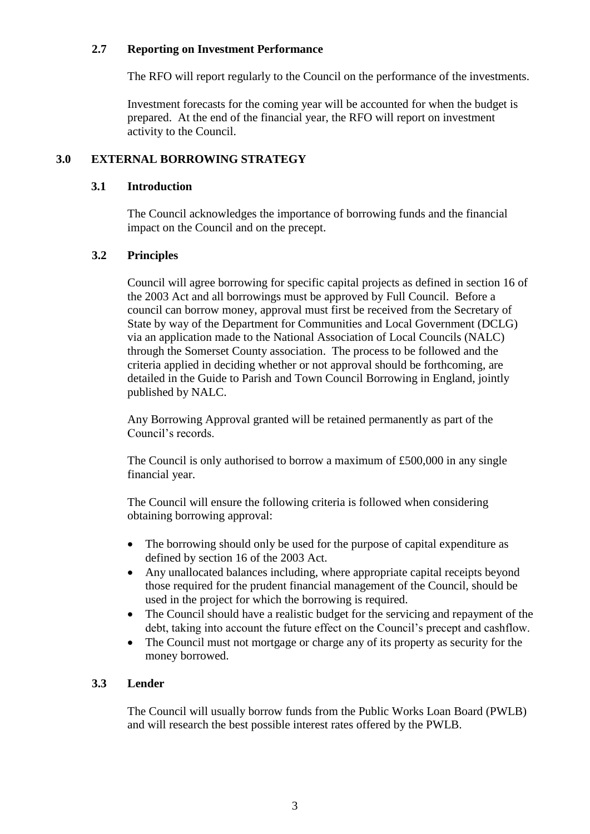#### **2.7 Reporting on Investment Performance**

The RFO will report regularly to the Council on the performance of the investments.

Investment forecasts for the coming year will be accounted for when the budget is prepared. At the end of the financial year, the RFO will report on investment activity to the Council.

# **3.0 EXTERNAL BORROWING STRATEGY**

#### **3.1 Introduction**

The Council acknowledges the importance of borrowing funds and the financial impact on the Council and on the precept.

# **3.2 Principles**

Council will agree borrowing for specific capital projects as defined in section 16 of the 2003 Act and all borrowings must be approved by Full Council. Before a council can borrow money, approval must first be received from the Secretary of State by way of the Department for Communities and Local Government (DCLG) via an application made to the National Association of Local Councils (NALC) through the Somerset County association. The process to be followed and the criteria applied in deciding whether or not approval should be forthcoming, are detailed in the Guide to Parish and Town Council Borrowing in England, jointly published by NALC.

Any Borrowing Approval granted will be retained permanently as part of the Council's records.

The Council is only authorised to borrow a maximum of £500,000 in any single financial year.

The Council will ensure the following criteria is followed when considering obtaining borrowing approval:

- The borrowing should only be used for the purpose of capital expenditure as defined by section 16 of the 2003 Act.
- Any unallocated balances including, where appropriate capital receipts beyond those required for the prudent financial management of the Council, should be used in the project for which the borrowing is required.
- The Council should have a realistic budget for the servicing and repayment of the debt, taking into account the future effect on the Council's precept and cashflow.
- The Council must not mortgage or charge any of its property as security for the money borrowed.

# **3.3 Lender**

The Council will usually borrow funds from the Public Works Loan Board (PWLB) and will research the best possible interest rates offered by the PWLB.